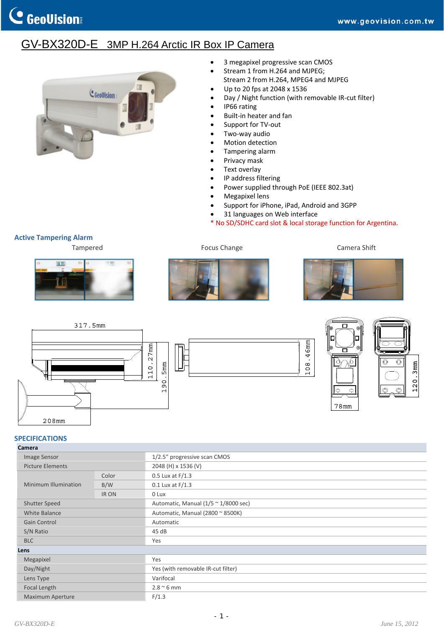## GV-BX320D-E 3MP H.264 Arctic IR Box IP Camera



- 3 megapixel progressive scan CMOS
- Stream 1 from H.264 and MJPEG;
- Stream 2 from H.264, MPEG4 and MJPEG
- Up to 20 fps at 2048 x 1536
- Day / Night function (with removable IR‐cut filter)
- IP66 rating
- Built‐in heater and fan
- Support for TV‐out
- Two-way audio
- Motion detection
- Tampering alarm
- Privacy mask
- Text overlay
- IP address filtering
- Power supplied through PoE (IEEE 802.3at)
- Megapixel lens
- Support for iPhone, iPad, Android and 3GPP
- 31 languages on Web interface
- \* No SD/SDHC card slot & local storage function for Argentina.

**Active Tampering Alarm**















## **SPECIFICATIONS**

| Camera                  |              |                                                      |
|-------------------------|--------------|------------------------------------------------------|
| Image Sensor            |              | 1/2.5" progressive scan CMOS                         |
| <b>Picture Elements</b> |              | 2048 (H) x 1536 (V)                                  |
| Minimum Illumination    | Color        | $0.5$ Lux at $F/1.3$                                 |
|                         | B/W          | $0.1$ Lux at $F/1.3$                                 |
|                         | <b>IR ON</b> | 0 Lux                                                |
| Shutter Speed           |              | Automatic, Manual $(1/5 \approx 1/8000 \text{ sec})$ |
| <b>White Balance</b>    |              | Automatic, Manual (2800 ~ 8500K)                     |
| Gain Control            |              | Automatic                                            |
| S/N Ratio               |              | 45 dB                                                |
| <b>BLC</b>              |              | Yes                                                  |
| Lens                    |              |                                                      |
| Megapixel               |              | Yes                                                  |
| Day/Night               |              | Yes (with removable IR-cut filter)                   |
| Lens Type               |              | Varifocal                                            |
| Focal Length            |              | $2.8 \degree$ 6 mm                                   |
| <b>Maximum Aperture</b> |              | F/1.3                                                |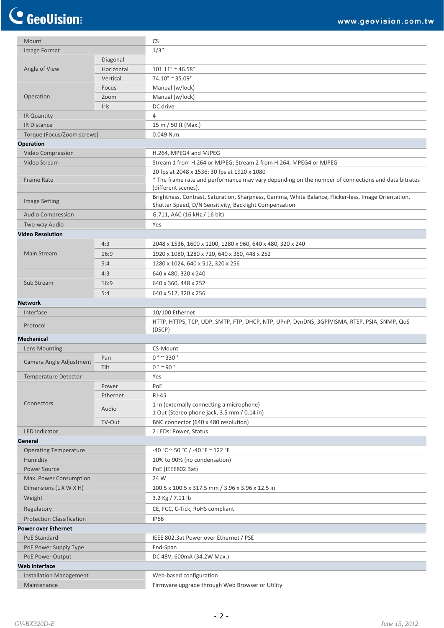## C GeoVision

| Mount                            |            | <b>CS</b>                                                                                                                                                                 |
|----------------------------------|------------|---------------------------------------------------------------------------------------------------------------------------------------------------------------------------|
| Image Format                     |            | 1/3''                                                                                                                                                                     |
|                                  | Diagonal   |                                                                                                                                                                           |
| Angle of View                    | Horizontal | $101.11^{\circ}$ ~ 46.58°                                                                                                                                                 |
|                                  | Vertical   | $74.10^{\circ} \approx 35.09^{\circ}$                                                                                                                                     |
| Operation                        | Focus      | Manual (w/lock)                                                                                                                                                           |
|                                  | Zoom       | Manual (w/lock)                                                                                                                                                           |
|                                  | Iris       | DC drive                                                                                                                                                                  |
|                                  |            |                                                                                                                                                                           |
| IR Quantity                      |            | 4                                                                                                                                                                         |
| <b>IR Distance</b>               |            | 15 m / 50 ft (Max.)                                                                                                                                                       |
| Torque (Focus/Zoom screws)       |            | $0.049$ N.m                                                                                                                                                               |
| <b>Operation</b>                 |            |                                                                                                                                                                           |
| <b>Video Compression</b>         |            | H.264, MPEG4 and MJPEG                                                                                                                                                    |
| Video Stream                     |            | Stream 1 from H.264 or MJPEG; Stream 2 from H.264, MPEG4 or MJPEG                                                                                                         |
| <b>Frame Rate</b>                |            | 20 fps at 2048 x 1536; 30 fps at 1920 x 1080<br>* The frame rate and performance may vary depending on the number of connections and data bitrates<br>(different scenes). |
| <b>Image Setting</b>             |            | Brightness, Contrast, Saturation, Sharpness, Gamma, White Balance, Flicker-less, Image Orientation,<br>Shutter Speed, D/N Sensitivity, Backlight Compensation             |
| <b>Audio Compression</b>         |            | G.711, AAC (16 kHz / 16 bit)                                                                                                                                              |
| Two-way Audio                    |            | Yes                                                                                                                                                                       |
| <b>Video Resolution</b>          |            |                                                                                                                                                                           |
|                                  | 4:3        | 2048 x 1536, 1600 x 1200, 1280 x 960, 640 x 480, 320 x 240                                                                                                                |
| Main Stream                      | 16:9       | 1920 x 1080, 1280 x 720, 640 x 360, 448 x 252                                                                                                                             |
|                                  | 5:4        | 1280 x 1024, 640 x 512, 320 x 256                                                                                                                                         |
|                                  | 4:3        | 640 x 480, 320 x 240                                                                                                                                                      |
| Sub Stream                       | 16:9       | 640 x 360, 448 x 252                                                                                                                                                      |
|                                  |            |                                                                                                                                                                           |
|                                  | 5:4        | 640 x 512, 320 x 256                                                                                                                                                      |
| <b>Network</b>                   |            |                                                                                                                                                                           |
| Interface                        |            | 10/100 Ethernet                                                                                                                                                           |
| Protocol                         |            | HTTP, HTTPS, TCP, UDP, SMTP, FTP, DHCP, NTP, UPnP, DynDNS, 3GPP/ISMA, RTSP, PSIA, SNMP, QoS<br>(DSCP)                                                                     |
| <b>Mechanical</b>                |            |                                                                                                                                                                           |
| Lens Mounting                    |            | CS-Mount                                                                                                                                                                  |
| Camera Angle Adjustment          | Pan        | $0° \sim 330°$                                                                                                                                                            |
|                                  | Tilt       | $0° \sim 90°$                                                                                                                                                             |
| <b>Temperature Detector</b>      |            | Yes                                                                                                                                                                       |
|                                  | Power      | PoE                                                                                                                                                                       |
|                                  | Ethernet   | <b>RJ-45</b>                                                                                                                                                              |
| Connectors                       | Audio      | 1 In (externally connecting a microphone)                                                                                                                                 |
|                                  |            | 1 Out (Stereo phone jack, 3.5 mm / 0.14 in)                                                                                                                               |
|                                  | TV-Out     | BNC connector (640 x 480 resolution)                                                                                                                                      |
| <b>LED Indicator</b>             |            | 2 LEDs: Power, Status                                                                                                                                                     |
| General                          |            |                                                                                                                                                                           |
| <b>Operating Temperature</b>     |            | -40 °C $\sim$ 50 °C / -40 °F $\sim$ 122 °F                                                                                                                                |
| Humidity                         |            | 10% to 90% (no condensation)                                                                                                                                              |
| Power Source                     |            | PoE (IEEE802.3at)                                                                                                                                                         |
| Max. Power Consumption           |            | 24 W                                                                                                                                                                      |
| Dimensions (L X W X H)           |            | 100.5 x 100.5 x 317.5 mm / 3.96 x 3.96 x 12.5 in                                                                                                                          |
| Weight                           |            | $3.2$ Kg $/ 7.11$ lb                                                                                                                                                      |
| Regulatory                       |            | CE, FCC, C-Tick, RoHS compliant                                                                                                                                           |
|                                  |            |                                                                                                                                                                           |
| <b>Protection Classification</b> |            | <b>IP66</b>                                                                                                                                                               |
| <b>Power over Ethernet</b>       |            |                                                                                                                                                                           |
| PoE Standard                     |            | IEEE 802.3at Power over Ethernet / PSE                                                                                                                                    |
| PoE Power Supply Type            |            | End-Span                                                                                                                                                                  |
| PoE Power Output                 |            | DC 48V, 600mA (34.2W Max.)                                                                                                                                                |
| <b>Web Interface</b>             |            |                                                                                                                                                                           |
| <b>Installation Management</b>   |            | Web-based configuration                                                                                                                                                   |
| Maintenance                      |            | Firmware upgrade through Web Browser or Utility                                                                                                                           |